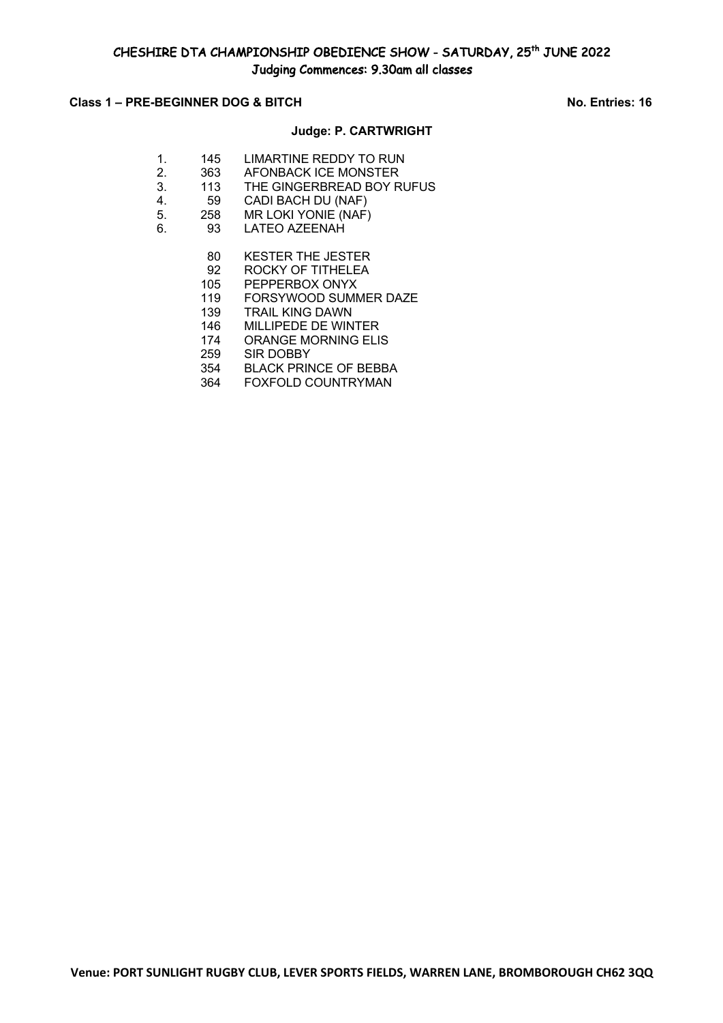## **Class 1 – PRE-BEGINNER DOG & BITCH No. Entries: 16**

### **Judge: P. CARTWRIGHT**

- 1. 145 LIMARTINE REDDY TO RUN 2. 363 AFONBACK ICE MONSTER 3. 113 THE GINGERBREAD BOY RUFUS 4. 59 CADI BACH DU (NAF) 5. 258 MR LOKI YONIE (NAF) 6. 93 LATEO AZEENAH
	- 80 KESTER THE JESTER
	- 92 ROCKY OF TITHELEA
	- 105 PEPPERBOX ONYX<br>119 FORSYWOOD SUMM
	- FORSYWOOD SUMMER DAZE
	- 139 TRAIL KING DAWN
	- 146 MILLIPEDE DE WINTER
	- 174 ORANGE MORNING ELIS
	- 259 SIR DOBBY
	- 354 BLACK PRINCE OF BEBBA
	- 364 FOXFOLD COUNTRYMAN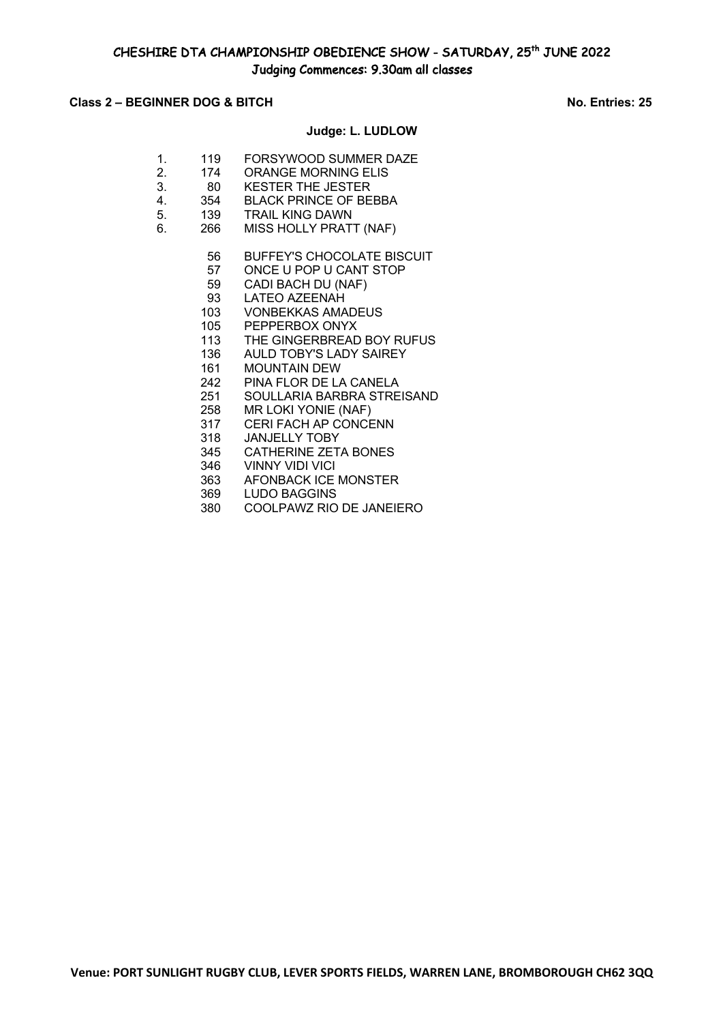## **Class 2 – BEGINNER DOG & BITCH No. Entries: 25**

## **Judge: L. LUDLOW**

- 1. 119 FORSYWOOD SUMMER DAZE
- 2. 174 ORANGE MORNING ELIS
- 3. 80 KESTER THE JESTER
- 4. 354 BLACK PRINCE OF BEBBA
- 5. 139 TRAIL KING DAWN
- 6. 266 MISS HOLLY PRATT (NAF)
	- 56 BUFFEY'S CHOCOLATE BISCUIT
	- 57 ONCE U POP U CANT STOP
	- 59 CADI BACH DU (NAF)<br>93 LATEO AZEENAH
	- LATEO AZEENAH
	- 103 VONBEKKAS AMADEUS
	- 105 PEPPERBOX ONYX
	- 113 THE GINGERBREAD BOY RUFUS
	- 136 AULD TOBY'S LADY SAIREY
	- 161 MOUNTAIN DEW
	- 242 PINA FLOR DE LA CANELA
	- 251 SOULLARIA BARBRA STREISAND
	- 258 MR LOKI YONIE (NAF)
	- 317 CERI FACH AP CONCENN
	- 318 JANJELLY TOBY
	- 345 CATHERINE ZETA BONES
	- 346 VINNY VIDI VICI
	- 363 AFONBACK ICE MONSTER
	- 369 LUDO BAGGINS
	- 380 COOLPAWZ RIO DE JANEIERO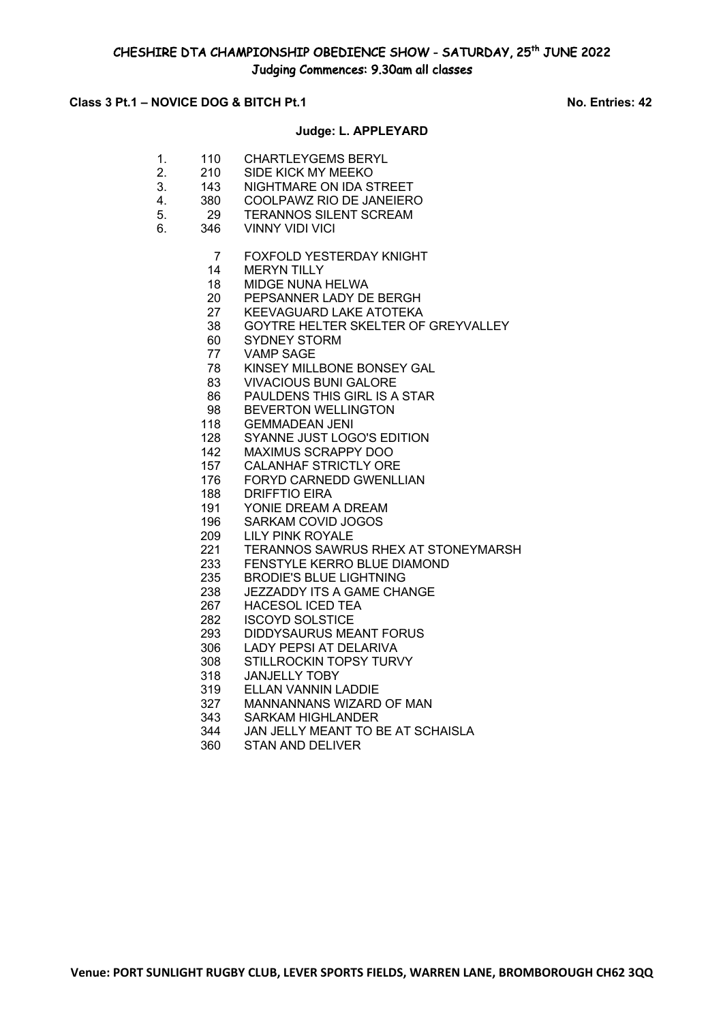# Class 3 Pt.1 – NOVICE DOG & BITCH Pt.1 No. Entries: 42

#### **Judge: L. APPLEYARD**

- 1. 110 CHARTLEYGEMS BERYL
- 2. 210 SIDE KICK MY MEEKO
- 3. 143 NIGHTMARE ON IDA STREET
- 4. 380 COOLPAWZ RIO DE JANEIERO 5. 29 TERANNOS SILENT SCREAM
- 6. 346 VINNY VIDI VICI
	- - FOXFOLD YESTERDAY KNIGHT
		- MERYN TILLY
		- MIDGE NUNA HELWA
		- PEPSANNER LADY DE BERGH
		- KEEVAGUARD LAKE ATOTEKA
		- GOYTRE HELTER SKELTER OF GREYVALLEY
		- SYDNEY STORM
		- VAMP SAGE
		- KINSEY MILLBONE BONSEY GAL
		- VIVACIOUS BUNI GALORE
		- PAULDENS THIS GIRL IS A STAR
		- BEVERTON WELLINGTON
		- GEMMADEAN JENI
		- SYANNE JUST LOGO'S EDITION
		- MAXIMUS SCRAPPY DOO
		- CALANHAF STRICTLY ORE
		- FORYD CARNEDD GWENLLIAN
		- DRIFFTIO EIRA
		- YONIE DREAM A DREAM
		- SARKAM COVID JOGOS
		- LILY PINK ROYALE
		- 221 TERANNOS SAWRUS RHEX AT STONEYMARSH<br>233 FENSTYLE KERRO BLUE DIAMOND
		- 233 FENSTYLE KERRO BLUE DIAMOND<br>235 BRODIE'S BLUE LIGHTNING
		- BRODIE'S BLUE LIGHTNING
		- JEZZADDY ITS A GAME CHANGE
		- HACESOL ICED TEA
		- ISCOYD SOLSTICE
		- DIDDYSAURUS MEANT FORUS
		- LADY PEPSI AT DELARIVA
		- STILLROCKIN TOPSY TURVY
		- JANJELLY TOBY
		- ELLAN VANNIN LADDIE
		- MANNANNANS WIZARD OF MAN
		- SARKAM HIGHLANDER
		- JAN JELLY MEANT TO BE AT SCHAISLA
		- STAN AND DELIVER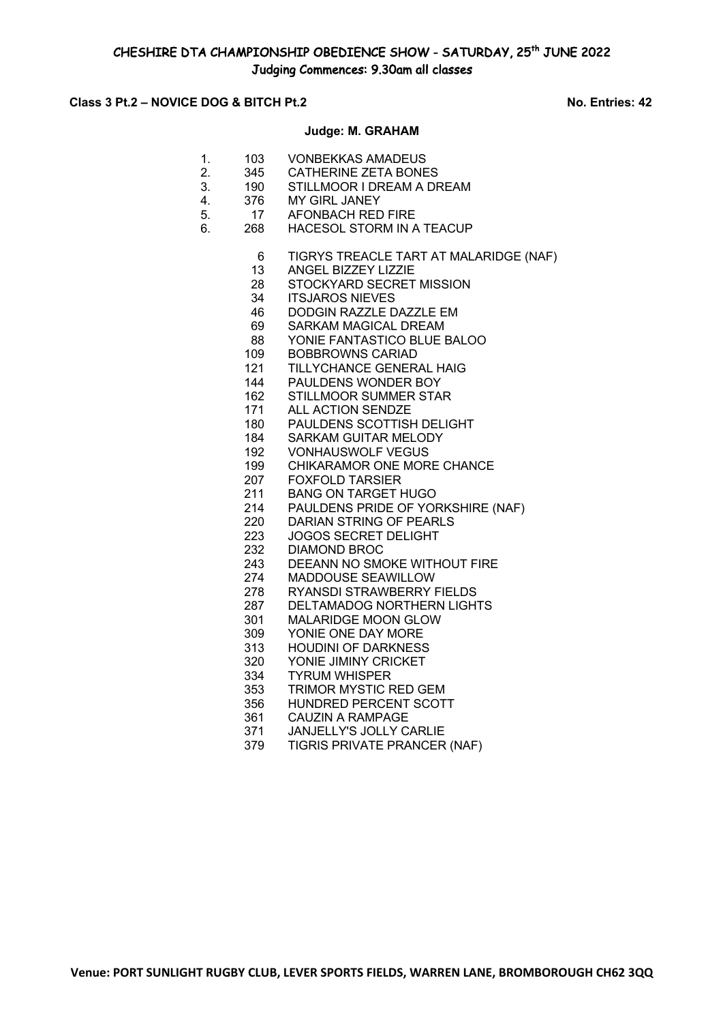## **Class 3 Pt.2 – NOVICE DOG & BITCH Pt.2 No. Entries: 42**

#### **Judge: M. GRAHAM**

- 1. 103 VONBEKKAS AMADEUS
- 2. 345 CATHERINE ZETA BONES
- 3. 190 STILLMOOR I DREAM A DREAM
- 4. 376 MY GIRL JANEY 5. 17 AFONBACH RED FIRE
- 6. 268 HACESOL STORM IN A TEACUP
	- TIGRYS TREACLE TART AT MALARIDGE (NAF)
	- ANGEL BIZZEY LIZZIE
	- 28 STOCKYARD SECRET MISSION<br>34 ITS.IAROS NIEVES
	- **ITSJAROS NIEVES**
	- DODGIN RAZZLE DAZZLE EM
	- SARKAM MAGICAL DREAM
	- YONIE FANTASTICO BLUE BALOO
	- BOBBROWNS CARIAD
	- TILLYCHANCE GENERAL HAIG
	- PAULDENS WONDER BOY
	- STILLMOOR SUMMER STAR
	- ALL ACTION SENDZE
	- PAULDENS SCOTTISH DELIGHT
	- SARKAM GUITAR MELODY
	- VONHAUSWOLF VEGUS
	- CHIKARAMOR ONE MORE CHANCE
	- FOXFOLD TARSIER
	- BANG ON TARGET HUGO
	- PAULDENS PRIDE OF YORKSHIRE (NAF)
	- DARIAN STRING OF PEARLS
	- JOGOS SECRET DELIGHT
	- 232 DIAMOND BROC<br>243 DEEANN NO SMO
	- DEEANN NO SMOKE WITHOUT FIRE
	- MADDOUSE SEAWILLOW
	- RYANSDI STRAWBERRY FIELDS
	- DELTAMADOG NORTHERN LIGHTS
	- MALARIDGE MOON GLOW
	- YONIE ONE DAY MORE
	- HOUDINI OF DARKNESS
	- YONIE JIMINY CRICKET
	- TYRUM WHISPER
	- TRIMOR MYSTIC RED GEM
	- HUNDRED PERCENT SCOTT
	- CAUZIN A RAMPAGE
	- JANJELLY'S JOLLY CARLIE
	- TIGRIS PRIVATE PRANCER (NAF)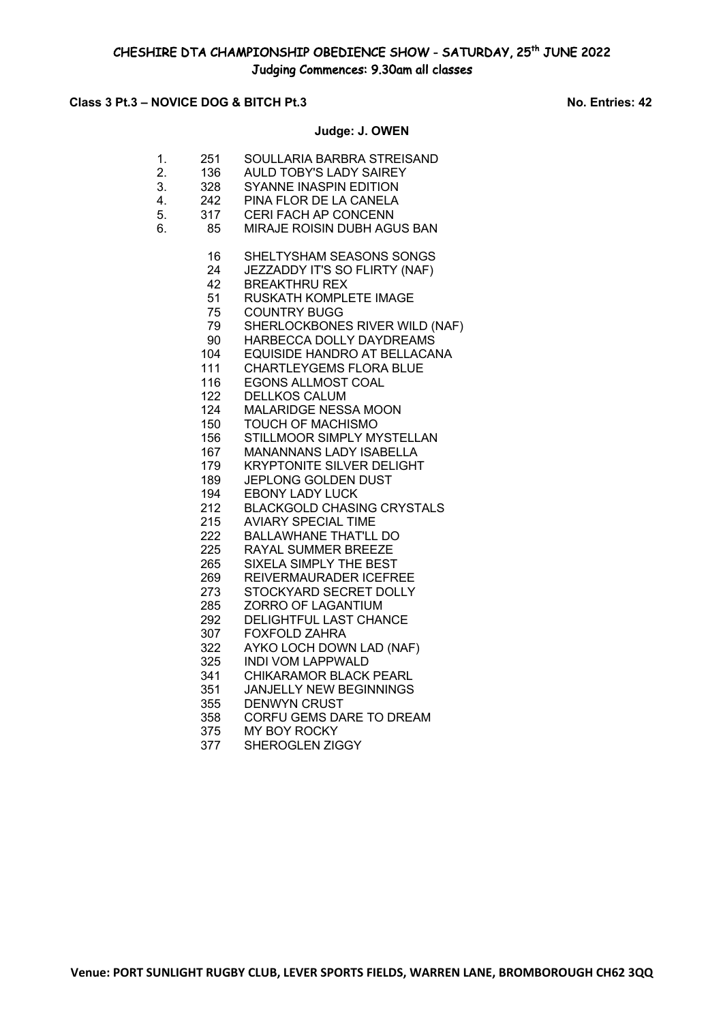# Class 3 Pt.3 – NOVICE DOG & BITCH Pt.3 No. Entries: 42

# **Judge: J. OWEN**

| 1.<br>2.<br>3.<br>4.<br>5.<br>6. | 251<br>136<br>328<br>242<br>317<br>85 | SOULLARIA BARBRA STREISAND<br><b>AULD TOBY'S LADY SAIREY</b><br>SYANNE INASPIN EDITION<br>PINA FLOR DE LA CANELA<br>CERI FACH AP CONCENN<br>MIRAJE ROISIN DUBH AGUS BAN |
|----------------------------------|---------------------------------------|-------------------------------------------------------------------------------------------------------------------------------------------------------------------------|
|                                  | 16                                    | SHELTYSHAM SEASONS SONGS                                                                                                                                                |
|                                  | 24                                    | JEZZADDY IT'S SO FLIRTY (NAF)                                                                                                                                           |
|                                  | 42<br>51                              | <b>BREAKTHRU REX</b>                                                                                                                                                    |
|                                  | 75                                    | RUSKATH KOMPLETE IMAGE<br><b>COUNTRY BUGG</b>                                                                                                                           |
|                                  | 79                                    | SHERLOCKBONES RIVER WILD (NAF)                                                                                                                                          |
|                                  | 90                                    | HARBECCA DOLLY DAYDREAMS                                                                                                                                                |
|                                  | 104                                   | EQUISIDE HANDRO AT BELLACANA                                                                                                                                            |
|                                  | 111                                   | <b>CHARTLEYGEMS FLORA BLUE</b>                                                                                                                                          |
|                                  | 116                                   | EGONS ALLMOST COAL                                                                                                                                                      |
|                                  | 122                                   | <b>DELLKOS CALUM</b>                                                                                                                                                    |
|                                  | 124                                   | MALARIDGE NESSA MOON                                                                                                                                                    |
|                                  | 150                                   | <b>TOUCH OF MACHISMO</b>                                                                                                                                                |
|                                  | 156                                   | STILLMOOR SIMPLY MYSTELLAN                                                                                                                                              |
|                                  | 167                                   | <b>MANANNANS LADY ISABELLA</b>                                                                                                                                          |
|                                  | 179                                   | <b>KRYPTONITE SILVER DELIGHT</b>                                                                                                                                        |
|                                  | 189                                   | <b>JEPLONG GOLDEN DUST</b>                                                                                                                                              |
|                                  | 194                                   | <b>EBONY LADY LUCK</b>                                                                                                                                                  |
|                                  | 212                                   | <b>BLACKGOLD CHASING CRYSTALS</b>                                                                                                                                       |
|                                  | 215                                   | <b>AVIARY SPECIAL TIME</b>                                                                                                                                              |
|                                  | 222                                   | <b>BALLAWHANE THAT'LL DO</b>                                                                                                                                            |
|                                  | 225<br>265                            | RAYAL SUMMER BREEZE<br><b>SIXELA SIMPLY THE BEST</b>                                                                                                                    |
|                                  | 269                                   | REIVERMAURADER ICEFREE                                                                                                                                                  |
|                                  | 273                                   | STOCKYARD SECRET DOLLY                                                                                                                                                  |
|                                  | 285                                   | ZORRO OF LAGANTIUM                                                                                                                                                      |
|                                  | 292                                   | DELIGHTFUL LAST CHANCE                                                                                                                                                  |
|                                  | 307                                   | <b>FOXFOLD ZAHRA</b>                                                                                                                                                    |
|                                  | 322                                   | AYKO LOCH DOWN LAD (NAF)                                                                                                                                                |
|                                  | 325                                   | <b>INDI VOM LAPPWALD</b>                                                                                                                                                |
|                                  | 341                                   | CHIKARAMOR BLACK PEARL                                                                                                                                                  |
|                                  | 351                                   | <b>JANJELLY NEW BEGINNINGS</b>                                                                                                                                          |
|                                  | 355                                   | <b>DENWYN CRUST</b>                                                                                                                                                     |
|                                  | 358                                   | CORFU GEMS DARE TO DREAM                                                                                                                                                |
|                                  | 375                                   | MY BOY ROCKY                                                                                                                                                            |

SHEROGLEN ZIGGY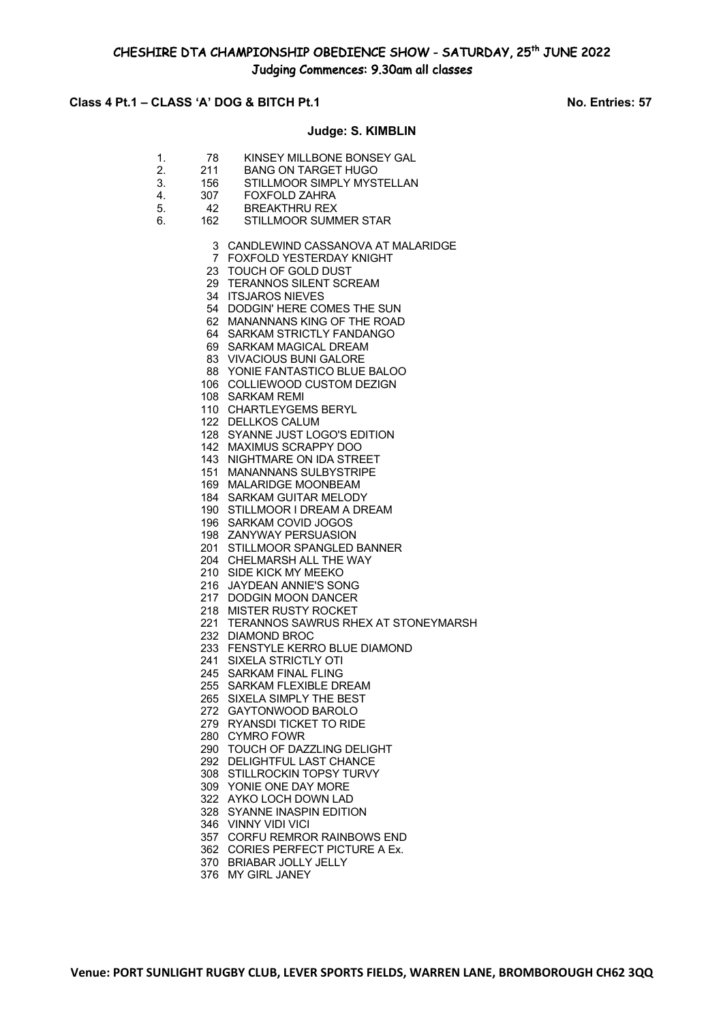# CHESHIRE DTA CHAMPIONSHIP OBEDIENCE SHOW - SATURDAY, 25th JUNE 2022 Judging Commences: 9.30am all classes

## **Class 4 Pt.1 – CLASS 'A' DOG & BITCH Pt.1 No. Entries: 57**

#### **Judge: S. KIMBLIN**

- 1. 78 KINSEY MILLBONE BONSEY GAL<br>2. 211 BANG ON TARGET HUGO **BANG ON TARGET HUGO**
- 3. 156 STILLMOOR SIMPLY MYSTELLAN
- 4. 307 FOXFOLD ZAHRA
- 5. 42 BREAKTHRU REX
- 6. 162 STILLMOOR SUMMER STAR
	- 3 CANDLEWIND CASSANOVA AT MALARIDGE
	- 7 FOXFOLD YESTERDAY KNIGHT
	- 23 TOUCH OF GOLD DUST
	- 29 TERANNOS SILENT SCREAM
	- 34 ITSJAROS NIEVES
	- 54 DODGIN' HERE COMES THE SUN
	- 62 MANANNANS KING OF THE ROAD
	- 64 SARKAM STRICTLY FANDANGO
	- 69 SARKAM MAGICAL DREAM
	- 83 VIVACIOUS BUNI GALORE
	- 88 YONIE FANTASTICO BLUE BALOO
	- 106 COLLIEWOOD CUSTOM DEZIGN
	- 108 SARKAM REMI
	- 110 CHARTLEYGEMS BERYL
	- 122 DELLKOS CALUM
	- 128 SYANNE JUST LOGO'S EDITION
	- 142 MAXIMUS SCRAPPY DOO
	- 143 NIGHTMARE ON IDA STREET
	- 151 MANANNANS SULBYSTRIPE
	- 169 MALARIDGE MOONBEAM
	- 184 SARKAM GUITAR MELODY
	- 190 STILLMOOR I DREAM A DREAM 196 SARKAM COVID JOGOS
	- 198 ZANYWAY PERSUASION
	- 201 STILLMOOR SPANGLED BANNER
	- 204 CHELMARSH ALL THE WAY
	- 210 SIDE KICK MY MEEKO
	- 216 JAYDEAN ANNIE'S SONG
	- 217 DODGIN MOON DANCER
	- 218 MISTER RUSTY ROCKET
	- 221 TERANNOS SAWRUS RHEX AT STONEYMARSH
	- 232 DIAMOND BROC
	- 233 FENSTYLE KERRO BLUE DIAMOND
	- 241 SIXELA STRICTLY OTI
	- 245 SARKAM FINAL FLING
	- 255 SARKAM FLEXIBLE DREAM
	- 265 SIXELA SIMPLY THE BEST
	- 272 GAYTONWOOD BAROLO
	- 279 RYANSDI TICKET TO RIDE
	- 280 CYMRO FOWR
	- 290 TOUCH OF DAZZLING DELIGHT
	- 292 DELIGHTFUL LAST CHANCE
	- 308 STILLROCKIN TOPSY TURVY
	- 309 YONIE ONE DAY MORE
	- 322 AYKO LOCH DOWN LAD
	- 328 SYANNE INASPIN EDITION
	- 346 VINNY VIDI VICI
	- 357 CORFU REMROR RAINBOWS END
	- 362 CORIES PERFECT PICTURE A Ex.
	- 370 BRIABAR JOLLY JELLY
	- 376 MY GIRL JANEY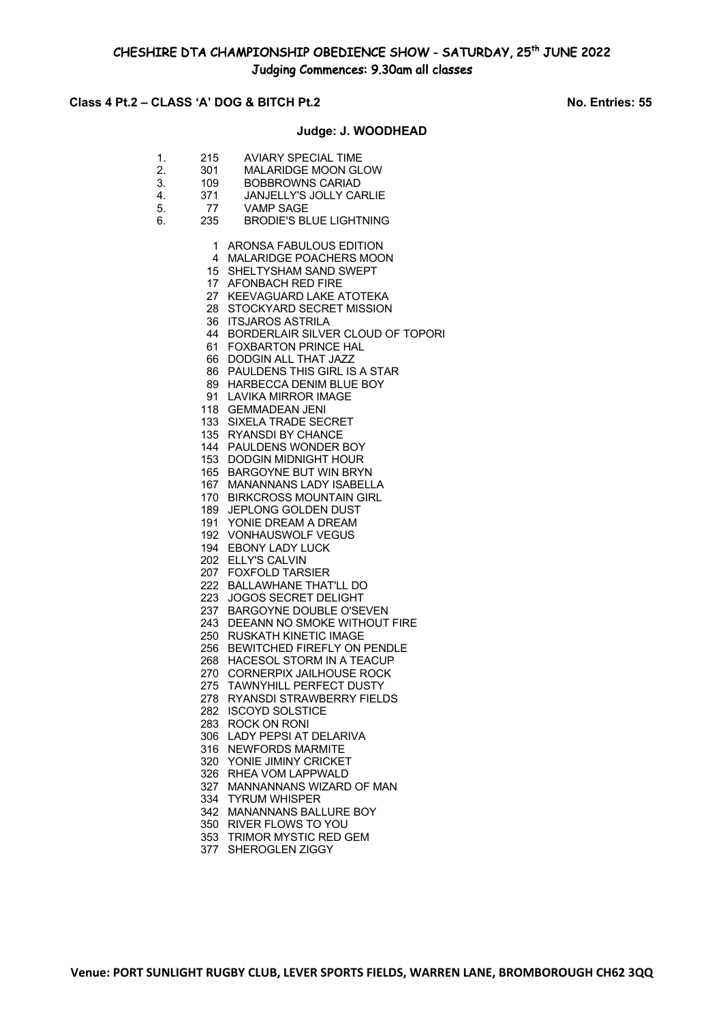# **Class 4 Pt.2 – CLASS 'A' DOG & BITCH Pt.2 No. Entries: 55**

### **Judge: J. WOODHEAD**

- 1. 215 AVIARY SPECIAL TIME<br>2. 301 MALARIDGE MOON GL MALARIDGE MOON GLOW 2. 501 MALAMBUL MOON OL<br>3. 109 BOBBROWNS CARIAD<br>4. 371 JANJELLY'S JOLLY CA 4. 371 JANJELLY'S JOLLY CARLIE 4. 371 JANJELLYS.<br>5. 77 VAMP SAGE
- 6. 235 BRODIE'S BLUE LIGHTNING
	- 1 ARONSA FABULOUS EDITION
	- 4 MALARIDGE POACHERS MOON
	- 15 SHELTYSHAM SAND SWEPT
	- 17 AFONBACH RED FIRE
	- 27 KEEVAGUARD LAKE ATOTEKA
	- 28 STOCKYARD SECRET MISSION
	- 36 ITSJAROS ASTRILA
	- 44 BORDERLAIR SILVER CLOUD OF TOPORI
	- 61 FOXBARTON PRINCE HAL
	- 66 DODGIN ALL THAT JAZZ
	- 86 PAULDENS THIS GIRL IS A STAR
	- 89 HARBECCA DENIM BLUE BOY
	- 91 LAVIKA MIRROR IMAGE
	- 118 GEMMADEAN JENI
	- 133 SIXELA TRADE SECRET
	- 135 RYANSDI BY CHANCE
	- 144 PAULDENS WONDER BOY
	- 153 DODGIN MIDNIGHT HOUR
	- 165 BARGOYNE BUT WIN BRYN
	- 167 MANANNANS LADY ISABELLA
	- 170 BIRKCROSS MOUNTAIN GIRL
	- 189 JEPLONG GOLDEN DUST
	- 191 YONIE DREAM A DREAM
	- 192 VONHAUSWOLF VEGUS
	- 194 EBONY LADY LUCK
	- 202 ELLY'S CALVIN
	- 207 FOXFOLD TARSIER
	- 222 BALLAWHANE THAT'LL DO
	- 223 JOGOS SECRET DELIGHT
	- 237 BARGOYNE DOUBLE O'SEVEN
	- 243 DEEANN NO SMOKE WITHOUT FIRE
	- 250 RUSKATH KINETIC IMAGE
	- 256 BEWITCHED FIREFLY ON PENDLE
	- 268 HACESOL STORM IN A TEACUP
	- 270 CORNERPIX JAILHOUSE ROCK
	- 275 TAWNYHILL PERFECT DUSTY
	- 278 RYANSDI STRAWBERRY FIELDS
	- 282 ISCOYD SOLSTICE
	- 283 ROCK ON RONI
	- 306 LADY PEPSI AT DELARIVA
	- 316 NEWFORDS MARMITE
	- 320 YONIE JIMINY CRICKET
	- 326 RHEA VOM LAPPWALD
	- 327 MANNANNANS WIZARD OF MAN
	- 334 TYRUM WHISPER
	- 342 MANANNANS BALLURE BOY
	- 350 RIVER FLOWS TO YOU
	- 353 TRIMOR MYSTIC RED GEM
	- 377 SHEROGLEN ZIGGY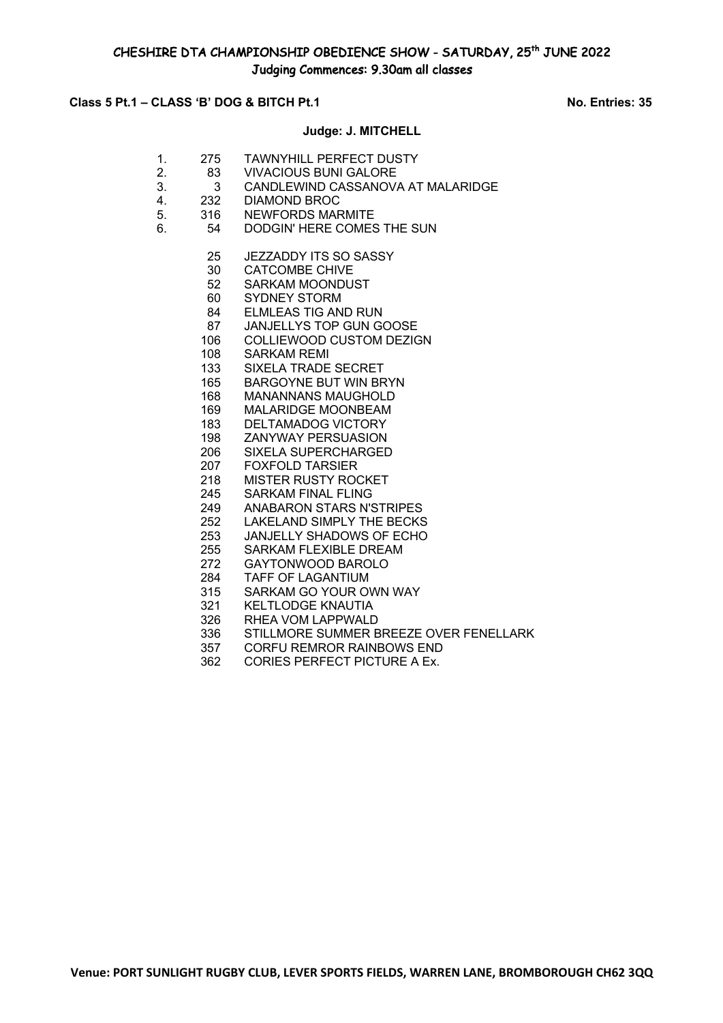# **Class 5 Pt.1 – CLASS 'B' DOG & BITCH Pt.1** No. Entries: 35

## **Judge: J. MITCHELL**

- 1. 275 TAWNYHILL PERFECT DUSTY 2. 83 VIVACIOUS BUNI GALORE
- 3. 3 CANDLEWIND CASSANOVA AT MALARIDGE
- 4. 232 DIAMOND BROC
- 5. 316 NEWFORDS MARMITE
- 6. 54 DODGIN' HERE COMES THE SUN
	- JEZZADDY ITS SO SASSY
	- CATCOMBE CHIVE
	- SARKAM MOONDUST
	- SYDNEY STORM
	- ELMLEAS TIG AND RUN
	- JANJELLYS TOP GUN GOOSE
	- COLLIEWOOD CUSTOM DEZIGN
	- SARKAM REMI
	- SIXELA TRADE SECRET
	- BARGOYNE BUT WIN BRYN
	- MANANNANS MAUGHOLD
	- MALARIDGE MOONBEAM
	- DELTAMADOG VICTORY
	- ZANYWAY PERSUASION
	- SIXELA SUPERCHARGED
	- FOXFOLD TARSIER
	- MISTER RUSTY ROCKET
	- SARKAM FINAL FLING
	- ANABARON STARS N'STRIPES
	- LAKELAND SIMPLY THE BECKS
	- JANJELLY SHADOWS OF ECHO
	- 255 SARKAM FLEXIBLE DREAM<br>272 GAYTONWOOD BAROLO
	- GAYTONWOOD BAROLO
	- TAFF OF LAGANTIUM
	- SARKAM GO YOUR OWN WAY
	- KELTLODGE KNAUTIA
	- RHEA VOM LAPPWALD
	- STILLMORE SUMMER BREEZE OVER FENELLARK
	- CORFU REMROR RAINBOWS END
	- CORIES PERFECT PICTURE A Ex.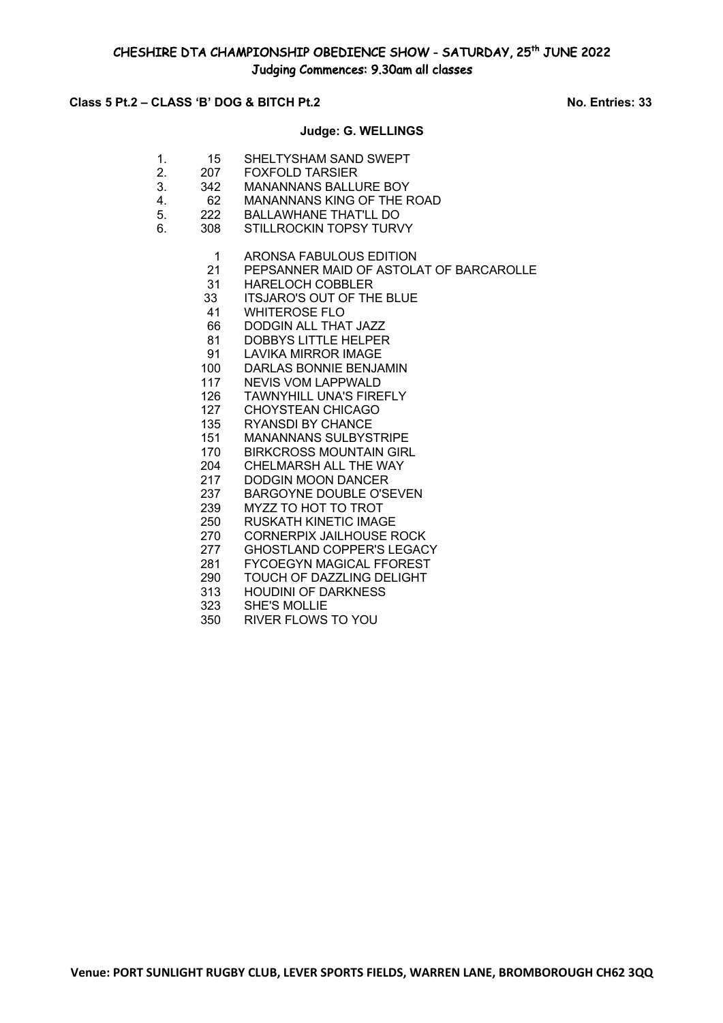# **Class 5 Pt.2 – CLASS 'B' DOG & BITCH Pt.2 No. Entries: 33**

#### **Judge: G. WELLINGS**

- 1. 15 SHELTYSHAM SAND SWEPT 2. 207 FOXFOLD TARSIER
- 3. 342 MANANNANS BALLURE BOY
- 4. 62 MANANNANS KING OF THE ROAD
- 5. 222 BALLAWHANE THAT'LL DO
- 6. 308 STILLROCKIN TOPSY TURVY
	- 1 ARONSA FABULOUS EDITION
	- 21 PEPSANNER MAID OF ASTOLAT OF BARCAROLLE
	- 31 HARELOCH COBBLER<br>33 ITSJARO'S OUT OF TH
	- **ITSJARO'S OUT OF THE BLUE**
	- 41 WHITEROSE FLO
	- 66 DODGIN ALL THAT JAZZ
	- 81 DOBBYS LITTLE HELPER
	- 91 LAVIKA MIRROR IMAGE
	- 100 DARLAS BONNIE BENJAMIN
	- 117 NEVIS VOM LAPPWALD
	- 126 TAWNYHILL UNA'S FIREFLY
	- 127 CHOYSTEAN CHICAGO
	- 135 RYANSDI BY CHANCE
	- 151 MANANNANS SULBYSTRIPE
	- 170 BIRKCROSS MOUNTAIN GIRL
	- 204 CHELMARSH ALL THE WAY
	- 217 DODGIN MOON DANCER
	- 237 BARGOYNE DOUBLE O'SEVEN
	- 239 MYZZ TO HOT TO TROT
	- 250 RUSKATH KINETIC IMAGE
	- 270 CORNERPIX JAILHOUSE ROCK
	- 277 GHOSTLAND COPPER'S LEGACY<br>281 FYCOEGYN MAGICAL FFOREST
	- 281 FYCOEGYN MAGICAL FFOREST<br>290 TOUCH OF DAZZLING DELIGHT TOUCH OF DAZZLING DELIGHT
	- 313 HOUDINI OF DARKNESS
	-
	- 323 SHE'S MOLLIE<br>350 RIVER FLOWS RIVER FLOWS TO YOU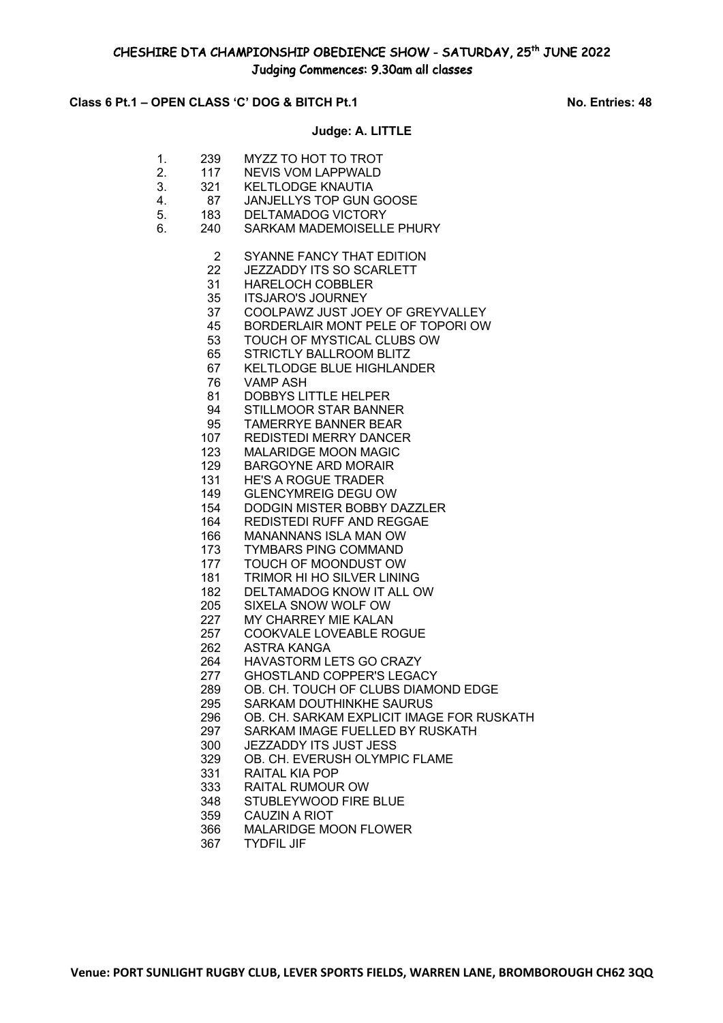# Class 6 Pt.1 – OPEN CLASS 'C' DOG & BITCH Pt.1 No. Entries: 48

### **Judge: A. LITTLE**

1. 239 MYZZ TO HOT TO TROT 2. 117 NEVIS VOM LAPPWALD 3. 321 KELTLODGE KNAUTIA 4. 87 JANJELLYS TOP GUN GOOSE 5. 183 DELTAMADOG VICTORY 6. 240 SARKAM MADEMOISELLE PHURY SYANNE FANCY THAT EDITION JEZZADDY ITS SO SCARLETT HARELOCH COBBLER ITSJARO'S JOURNEY COOLPAWZ JUST JOEY OF GREYVALLEY BORDERLAIR MONT PELE OF TOPORI OW TOUCH OF MYSTICAL CLUBS OW STRICTLY BALLROOM BLITZ KELTLODGE BLUE HIGHLANDER VAMP ASH DOBBYS LITTLE HELPER STILLMOOR STAR BANNER TAMERRYE BANNER BEAR REDISTEDI MERRY DANCER MALARIDGE MOON MAGIC BARGOYNE ARD MORAIR HE'S A ROGUE TRADER GLENCYMREIG DEGU OW DODGIN MISTER BOBBY DAZZLER REDISTEDI RUFF AND REGGAE MANANNANS ISLA MAN OW 173 TYMBARS PING COMMAND<br>177 TOUCH OF MOONDUST OW TOUCH OF MOONDUST OW TRIMOR HI HO SILVER LINING DELTAMADOG KNOW IT ALL OW SIXELA SNOW WOLF OW MY CHARREY MIE KALAN COOKVALE LOVEABLE ROGUE ASTRA KANGA HAVASTORM LETS GO CRAZY GHOSTLAND COPPER'S LEGACY OB. CH. TOUCH OF CLUBS DIAMOND EDGE SARKAM DOUTHINKHE SAURUS OB. CH. SARKAM EXPLICIT IMAGE FOR RUSKATH SARKAM IMAGE FUELLED BY RUSKATH JEZZADDY ITS JUST JESS OB. CH. EVERUSH OLYMPIC FLAME RAITAL KIA POP RAITAL RUMOUR OW STUBLEYWOOD FIRE BLUE CAUZIN A RIOT MALARIDGE MOON FLOWER TYDFIL JIF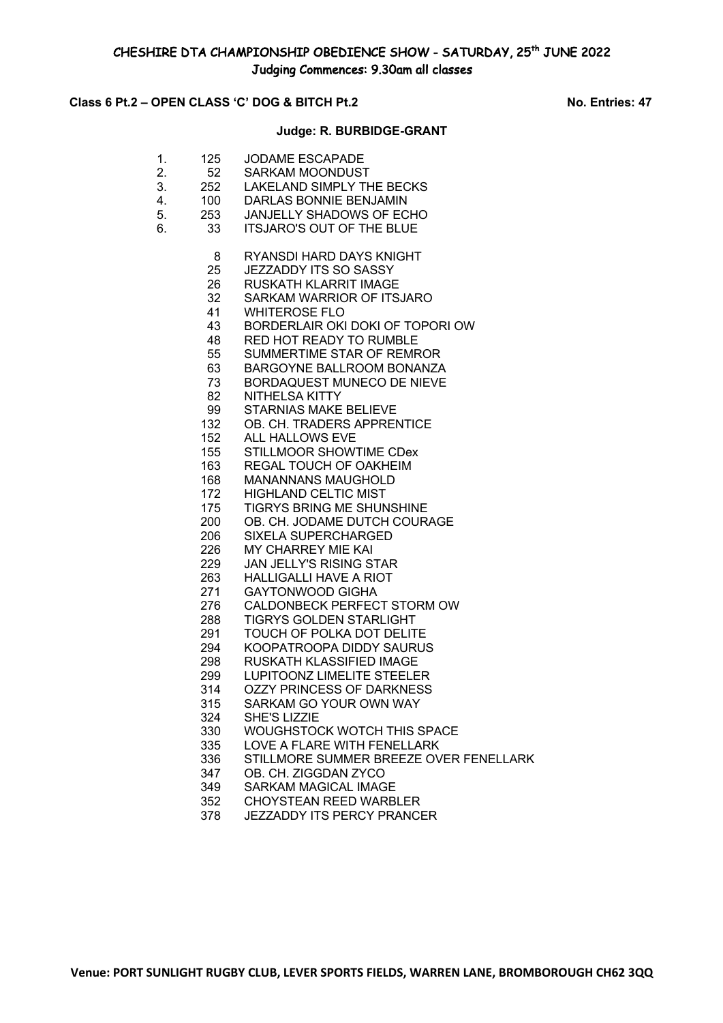## **Class 6 Pt.2 – OPEN CLASS 'C' DOG & BITCH Pt.2 No. Entries: 47**

#### **Judge: R. BURBIDGE-GRANT**

- 1. 125 JODAME ESCAPADE 2. 52 SARKAM MOONDUST 3. 252 LAKELAND SIMPLY THE BECKS 4. 100 DARLAS BONNIE BENJAMIN 5. 253 JANJELLY SHADOWS OF ECHO 6. 33 ITSJARO'S OUT OF THE BLUE RYANSDI HARD DAYS KNIGHT JEZZADDY ITS SO SASSY RUSKATH KLARRIT IMAGE SARKAM WARRIOR OF ITSJARO WHITEROSE FLO BORDERLAIR OKI DOKI OF TOPORI OW RED HOT READY TO RUMBLE SUMMERTIME STAR OF REMROR BARGOYNE BALLROOM BONANZA BORDAQUEST MUNECO DE NIEVE NITHELSA KITTY STARNIAS MAKE BELIEVE OB. CH. TRADERS APPRENTICE ALL HALLOWS EVE STILLMOOR SHOWTIME CDex REGAL TOUCH OF OAKHEIM MANANNANS MAUGHOLD HIGHLAND CELTIC MIST TIGRYS BRING ME SHUNSHINE OB. CH. JODAME DUTCH COURAGE SIXELA SUPERCHARGED 226 MY CHARREY MIE KAI<br>229 JAN JELLY'S RISING ST JAN JELLY'S RISING STAR HALLIGALLI HAVE A RIOT GAYTONWOOD GIGHA CALDONBECK PERFECT STORM OW TIGRYS GOLDEN STARLIGHT TOUCH OF POLKA DOT DELITE KOOPATROOPA DIDDY SAURUS RUSKATH KLASSIFIED IMAGE LUPITOONZ LIMELITE STEELER OZZY PRINCESS OF DARKNESS SARKAM GO YOUR OWN WAY SHE'S LIZZIE WOUGHSTOCK WOTCH THIS SPACE LOVE A FLARE WITH FENELLARK STILLMORE SUMMER BREEZE OVER FENELLARK OB. CH. ZIGGDAN ZYCO SARKAM MAGICAL IMAGE CHOYSTEAN REED WARBLER
	- JEZZADDY ITS PERCY PRANCER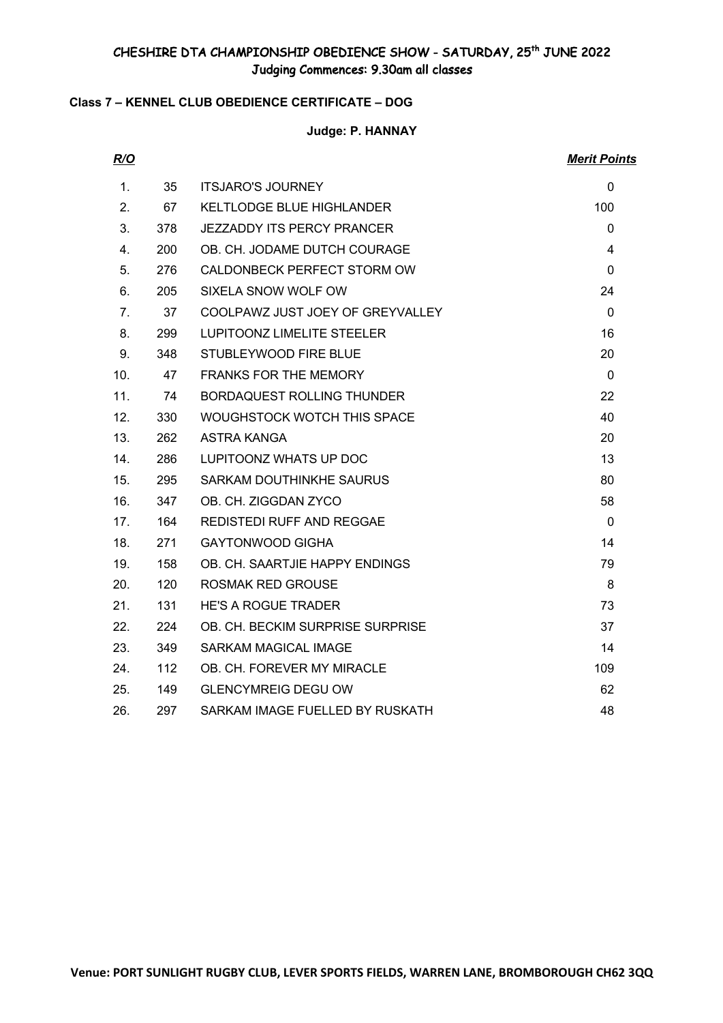# **Class 7 – KENNEL CLUB OBEDIENCE CERTIFICATE – DOG**

**Judge: P. HANNAY**

| R/O                              |            |                                   | <b>Merit Points</b> |
|----------------------------------|------------|-----------------------------------|---------------------|
| 1.                               | 35         | <b>ITSJARO'S JOURNEY</b>          | $\mathbf 0$         |
| 2.                               | 67         | <b>KELTLODGE BLUE HIGHLANDER</b>  | 100                 |
| 3.                               | 378        | <b>JEZZADDY ITS PERCY PRANCER</b> | $\mathbf{0}$        |
| 4.                               | <b>200</b> | OB. CH. JODAME DUTCH COURAGE      | 4                   |
| 5.                               | 276        | CALDONBECK PERFECT STORM OW       | $\mathbf 0$         |
| 6.                               | 205        | SIXELA SNOW WOLF OW               | 24                  |
| $7_{\scriptscriptstyle{\ddots}}$ | 37         | COOLPAWZ JUST JOEY OF GREYVALLEY  | $\mathbf 0$         |
| 8.                               | 299        | LUPITOONZ LIMELITE STEELER        | 16                  |
| 9.                               | 348        | STUBLEYWOOD FIRE BLUE             | 20                  |
| 10.                              | 47         | <b>FRANKS FOR THE MEMORY</b>      | $\mathbf 0$         |
| 11.                              | 74         | <b>BORDAQUEST ROLLING THUNDER</b> | 22                  |
| 12.                              | 330        | WOUGHSTOCK WOTCH THIS SPACE       | 40                  |
| 13.                              | 262        | ASTRA KANGA                       | 20                  |
| 14.                              | 286        | LUPITOONZ WHATS UP DOC            | 13                  |
| 15.                              | 295        | SARKAM DOUTHINKHE SAURUS          | 80                  |
| 16.                              | 347        | OB. CH. ZIGGDAN ZYCO              | 58                  |
| 17.                              | 164        | <b>REDISTEDI RUFF AND REGGAE</b>  | $\mathbf 0$         |
| 18.                              | 271        | <b>GAYTONWOOD GIGHA</b>           | 14                  |
| 19.                              | 158        | OB. CH. SAARTJIE HAPPY ENDINGS    | 79                  |
| 20.                              | 120        | ROSMAK RED GROUSE                 | 8                   |
| 21.                              | 131        | <b>HE'S A ROGUE TRADER</b>        | 73                  |
| 22.                              | 224        | OB. CH. BECKIM SURPRISE SURPRISE  | 37                  |
| 23.                              | 349        | SARKAM MAGICAL IMAGE              | 14                  |
| 24.                              | 112        | OB. CH. FOREVER MY MIRACLE        | 109                 |
| 25.                              | 149        | <b>GLENCYMREIG DEGU OW</b>        | 62                  |
| 26.                              | 297        | SARKAM IMAGE FUELLED BY RUSKATH   | 48                  |